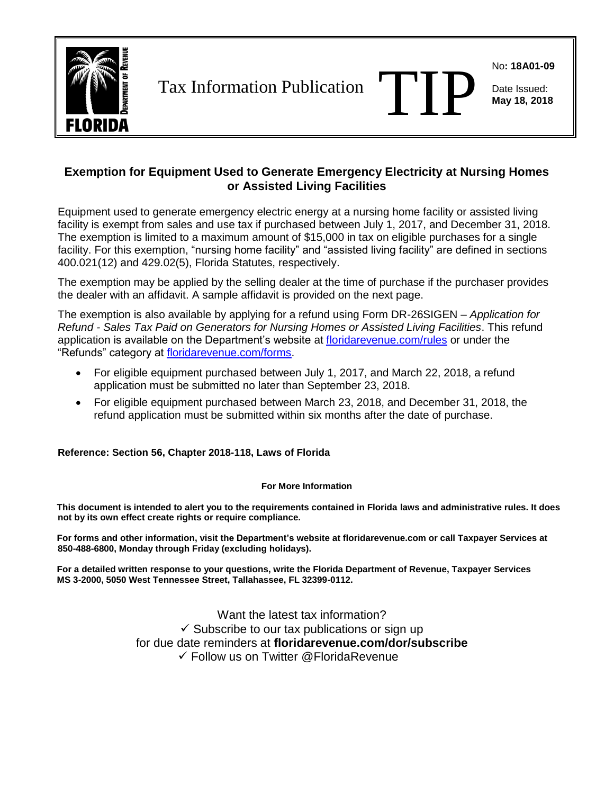

Tax Information Publication

No**: 18A01-09**

Date Issued: **May 18, 2018**

## **Exemption for Equipment Used to Generate Emergency Electricity at Nursing Homes or Assisted Living Facilities**

Equipment used to generate emergency electric energy at a nursing home facility or assisted living facility is exempt from sales and use tax if purchased between July 1, 2017, and December 31, 2018. The exemption is limited to a maximum amount of \$15,000 in tax on eligible purchases for a single facility. For this exemption, "nursing home facility" and "assisted living facility" are defined in sections 400.021(12) and 429.02(5), Florida Statutes, respectively.

The exemption may be applied by the selling dealer at the time of purchase if the purchaser provides the dealer with an affidavit. A sample affidavit is provided on the next page.

The exemption is also available by applying for a refund using Form DR-26SIGEN – *Application for Refund - Sales Tax Paid on Generators for Nursing Homes or Assisted Living Facilities*. This refund application is available on the Department's website at [floridarevenue.com/rules](http://www.floridarevenue.com/rules) or under the "Refunds" category at [floridarevenue.com/forms.](http://floridarevenue.com/forms)

- For eligible equipment purchased between July 1, 2017, and March 22, 2018, a refund application must be submitted no later than September 23, 2018.
- For eligible equipment purchased between March 23, 2018, and December 31, 2018, the refund application must be submitted within six months after the date of purchase.

**Reference: Section 56, Chapter 2018-118, Laws of Florida**

## **For More Information**

**This document is intended to alert you to the requirements contained in Florida laws and administrative rules. It does not by its own effect create rights or require compliance.**

**For forms and other information, visit the Department's website at [floridarevenue.com](http://www.floridarevenue.com/) or call Taxpayer Services at 850-488-6800, Monday through Friday (excluding holidays).**

**For a detailed written response to your questions, write the Florida Department of Revenue, Taxpayer Services MS 3-2000, 5050 West Tennessee Street, Tallahassee, FL 32399-0112.**

> Want the latest tax information?  $\checkmark$  Subscribe to our tax publications or sign up for due date reminders at **[floridarevenue.com/dor/s](http://www.floridarevenue.com/dor/list/)ubscribe** ✓ Follow us on Twitter [@FloridaRevenue](https://twitter.com/FloridaRevenue)